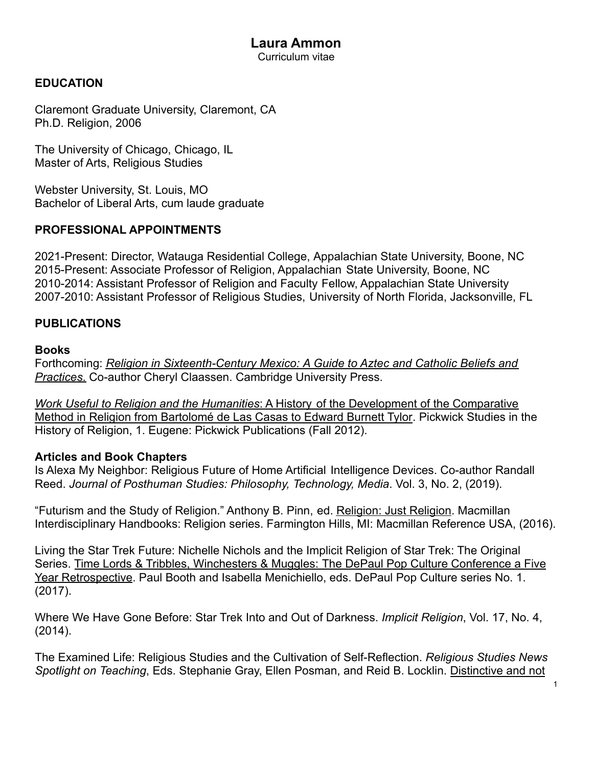#### **Laura Ammon** Curriculum vitae

### **EDUCATION**

Claremont Graduate University, Claremont, CA Ph.D. Religion, 2006

The University of Chicago, Chicago, IL Master of Arts, Religious Studies

Webster University, St. Louis, MO Bachelor of Liberal Arts, cum laude graduate

#### **PROFESSIONAL APPOINTMENTS**

2021-Present: Director, Watauga Residential College, Appalachian State University, Boone, NC 2015-Present: Associate Professor of Religion, Appalachian State University, Boone, NC 2010-2014: Assistant Professor of Religion and Faculty Fellow, Appalachian State University 2007-2010: Assistant Professor of Religious Studies, University of North Florida, Jacksonville, FL

### **PUBLICATIONS**

#### **Books**

Forthcoming: *Religion in Sixteenth-Century Mexico: A Guide to Aztec and Catholic Beliefs and Practices*. Co-author Cheryl Claassen. Cambridge University Press.

*Work Useful to Religion and the Humanities*: A History of the Development of the Comparative Method in Religion from Bartolomé de Las Casas to Edward Burnett Tylor. Pickwick Studies in the History of Religion, 1. Eugene: Pickwick Publications (Fall 2012).

#### **Articles and Book Chapters**

Is Alexa My Neighbor: Religious Future of Home Artificial Intelligence Devices. Co-author Randall Reed. *Journal of Posthuman Studies: Philosophy, Technology, Media*. Vol. 3, No. 2, (2019).

"Futurism and the Study of Religion." Anthony B. Pinn, ed. Religion: Just Religion. Macmillan Interdisciplinary Handbooks: Religion series. Farmington Hills, MI: Macmillan Reference USA, (2016).

Living the Star Trek Future: Nichelle Nichols and the Implicit Religion of Star Trek: The Original Series. Time Lords & Tribbles, Winchesters & Muggles: The DePaul Pop Culture Conference a Five Year Retrospective. Paul Booth and Isabella Menichiello, eds. DePaul Pop Culture series No. 1. (2017).

Where We Have Gone Before: Star Trek Into and Out of Darkness. *Implicit Religion*, Vol. 17, No. 4, (2014).

The Examined Life: Religious Studies and the Cultivation of Self-Reflection. *Religious Studies News Spotlight on Teaching*, Eds. Stephanie Gray, Ellen Posman, and Reid B. Locklin. Distinctive and not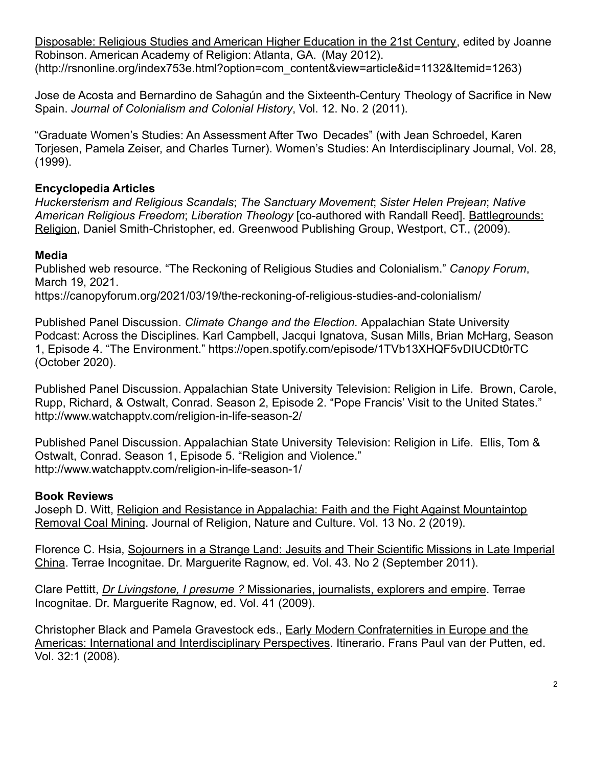Disposable: Religious Studies and American Higher Education in the 21st Century, edited by Joanne Robinson. American Academy of Religion: Atlanta, GA. (May 2012). (http://rsnonline.org/index753e.html?option=com\_content&view=article&id=1132&Itemid=1263)

Jose de Acosta and Bernardino de Sahagún and the Sixteenth-Century Theology of Sacrifice in New Spain. *Journal of Colonialism and Colonial History*, Vol. 12. No. 2 (2011).

"Graduate Women's Studies: An Assessment After Two Decades" (with Jean Schroedel, Karen Torjesen, Pamela Zeiser, and Charles Turner). Women's Studies: An Interdisciplinary Journal, Vol. 28, (1999).

# **Encyclopedia Articles**

*Huckersterism and Religious Scandals*; *The Sanctuary Movement*; *Sister Helen Prejean*; *Native American Religious Freedom*; *Liberation Theology* [co-authored with Randall Reed]. Battlegrounds: Religion, Daniel Smith-Christopher, ed. Greenwood Publishing Group, Westport, CT., (2009).

# **Media**

Published web resource. "The Reckoning of Religious Studies and Colonialism." *Canopy Forum*, March 19, 2021. https://canopyforum.org/2021/03/19/the-reckoning-of-religious-studies-and-colonialism/

Published Panel Discussion. *Climate Change and the Election.* Appalachian State University Podcast: Across the Disciplines. Karl Campbell, Jacqui Ignatova, Susan Mills, Brian McHarg, Season 1, Episode 4. "The Environment." https://open.spotify.com/episode/1TVb13XHQF5vDIUCDt0rTC (October 2020).

Published Panel Discussion. Appalachian State University Television: Religion in Life. Brown, Carole, Rupp, Richard, & Ostwalt, Conrad. Season 2, Episode 2. "Pope Francis' Visit to the United States." http://www.watchapptv.com/religion-in-life-season-2/

Published Panel Discussion. Appalachian State University Television: Religion in Life. Ellis, Tom & Ostwalt, Conrad. Season 1, Episode 5. "Religion and Violence." http://www.watchapptv.com/religion-in-life-season-1/

# **Book Reviews**

Joseph D. Witt, Religion and Resistance in Appalachia: Faith and the Fight Against Mountaintop Removal Coal Mining. Journal of Religion, Nature and Culture. Vol. 13 No. 2 (2019).

Florence C. Hsia, Sojourners in a Strange Land: Jesuits and Their Scientific Missions in Late Imperial China. Terrae Incognitae. Dr. Marguerite Ragnow, ed. Vol. 43. No 2 (September 2011).

Clare Pettitt, *Dr Livingstone, I presume ?* Missionaries, journalists, explorers and empire. Terrae Incognitae. Dr. Marguerite Ragnow, ed. Vol. 41 (2009).

Christopher Black and Pamela Gravestock eds., Early Modern Confraternities in Europe and the Americas: International and Interdisciplinary Perspectives. Itinerario. Frans Paul van der Putten, ed. Vol. 32:1 (2008).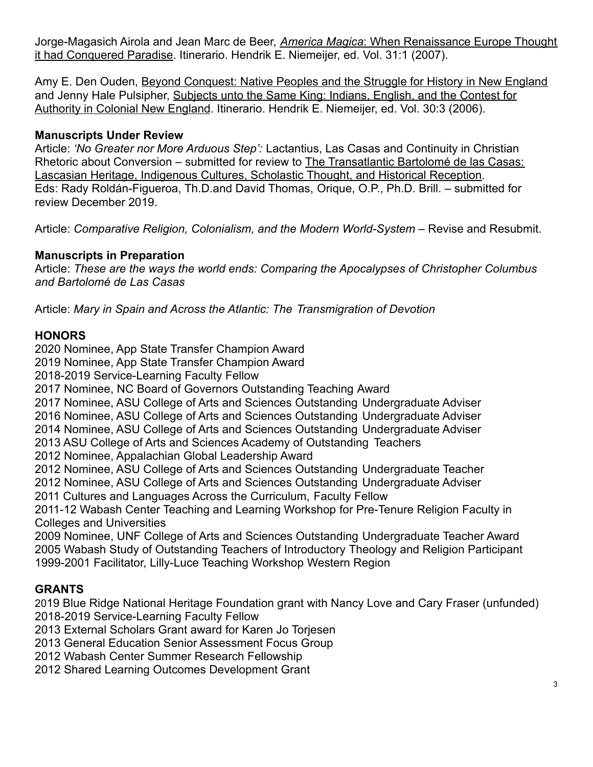Jorge-Magasich Airola and Jean Marc de Beer, *America Magica*: When Renaissance Europe Thought it had Conquered Paradise. Itinerario. Hendrik E. Niemeijer, ed. Vol. 31:1 (2007).

Amy E. Den Ouden, Beyond Conquest: Native Peoples and the Struggle for History in New England and Jenny Hale Pulsipher, Subjects unto the Same King: Indians, English, and the Contest for Authority in Colonial New England. Itinerario. Hendrik E. Niemeijer, ed. Vol. 30:3 (2006).

### **Manuscripts Under Review**

Article: *'No Greater nor More Arduous Step':* Lactantius, Las Casas and Continuity in Christian Rhetoric about Conversion – submitted for review to The Transatlantic Bartolomé de las Casas: Lascasian Heritage, Indigenous Cultures, Scholastic Thought, and Historical Reception. Eds: Rady Roldán-Figueroa, Th.D.and David Thomas, Orique, O.P., Ph.D. Brill. – submitted for review December 2019.

Article: *Comparative Religion, Colonialism, and the Modern World-System* – Revise and Resubmit.

# **Manuscripts in Preparation**

Article: *These are the ways the world ends: Comparing the Apocalypses of Christopher Columbus and Bartolomé de Las Casas*

Article: *Mary in Spain and Across the Atlantic: The Transmigration of Devotion*

# **HONORS**

2020 Nominee, App State Transfer Champion Award

2019 Nominee, App State Transfer Champion Award

2018-2019 Service-Learning Faculty Fellow

2017 Nominee, NC Board of Governors Outstanding Teaching Award

2017 Nominee, ASU College of Arts and Sciences Outstanding Undergraduate Adviser

2016 Nominee, ASU College of Arts and Sciences Outstanding Undergraduate Adviser

2014 Nominee, ASU College of Arts and Sciences Outstanding Undergraduate Adviser

2013 ASU College of Arts and Sciences Academy of Outstanding Teachers

2012 Nominee, Appalachian Global Leadership Award

2012 Nominee, ASU College of Arts and Sciences Outstanding Undergraduate Teacher

2012 Nominee, ASU College of Arts and Sciences Outstanding Undergraduate Adviser

2011 Cultures and Languages Across the Curriculum, Faculty Fellow

2011-12 Wabash Center Teaching and Learning Workshop for Pre-Tenure Religion Faculty in Colleges and Universities

2009 Nominee, UNF College of Arts and Sciences Outstanding Undergraduate Teacher Award 2005 Wabash Study of Outstanding Teachers of Introductory Theology and Religion Participant 1999-2001 Facilitator, Lilly-Luce Teaching Workshop Western Region

# **GRANTS**

2019 Blue Ridge National Heritage Foundation grant with Nancy Love and Cary Fraser (unfunded) 2018-2019 Service-Learning Faculty Fellow

2013 External Scholars Grant award for Karen Jo Torjesen

2013 General Education Senior Assessment Focus Group

2012 Wabash Center Summer Research Fellowship

2012 Shared Learning Outcomes Development Grant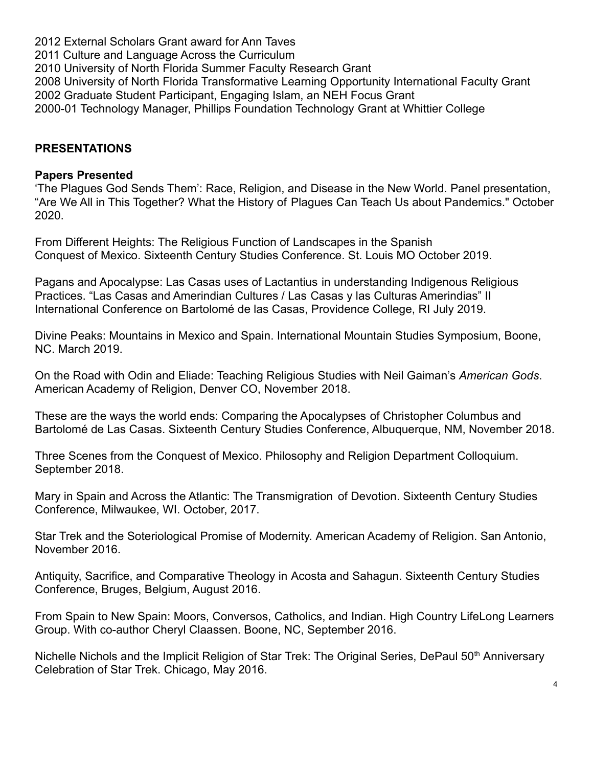2012 External Scholars Grant award for Ann Taves 2011 Culture and Language Across the Curriculum 2010 University of North Florida Summer Faculty Research Grant 2008 University of North Florida Transformative Learning Opportunity International Faculty Grant 2002 Graduate Student Participant, Engaging Islam, an NEH Focus Grant 2000-01 Technology Manager, Phillips Foundation Technology Grant at Whittier College

### **PRESENTATIONS**

#### **Papers Presented**

'The Plagues God Sends Them': Race, Religion, and Disease in the New World. Panel presentation, "Are We All in This Together? What the History of Plagues Can Teach Us about Pandemics." October 2020.

From Different Heights: The Religious Function of Landscapes in the Spanish Conquest of Mexico. Sixteenth Century Studies Conference. St. Louis MO October 2019.

Pagans and Apocalypse: Las Casas uses of Lactantius in understanding Indigenous Religious Practices. "Las Casas and Amerindian Cultures / Las Casas y las Culturas Amerindias" II International Conference on Bartolomé de las Casas, Providence College, RI July 2019.

Divine Peaks: Mountains in Mexico and Spain. International Mountain Studies Symposium, Boone, NC. March 2019.

On the Road with Odin and Eliade: Teaching Religious Studies with Neil Gaiman's *American Gods*. American Academy of Religion, Denver CO, November 2018.

These are the ways the world ends: Comparing the Apocalypses of Christopher Columbus and Bartolomé de Las Casas. Sixteenth Century Studies Conference, Albuquerque, NM, November 2018.

Three Scenes from the Conquest of Mexico. Philosophy and Religion Department Colloquium. September 2018.

Mary in Spain and Across the Atlantic: The Transmigration of Devotion. Sixteenth Century Studies Conference, Milwaukee, WI. October, 2017.

Star Trek and the Soteriological Promise of Modernity. American Academy of Religion. San Antonio, November 2016.

Antiquity, Sacrifice, and Comparative Theology in Acosta and Sahagun. Sixteenth Century Studies Conference, Bruges, Belgium, August 2016.

From Spain to New Spain: Moors, Conversos, Catholics, and Indian. High Country LifeLong Learners Group. With co-author Cheryl Claassen. Boone, NC, September 2016.

Nichelle Nichols and the Implicit Religion of Star Trek: The Original Series, DePaul 50<sup>th</sup> Anniversary Celebration of Star Trek. Chicago, May 2016.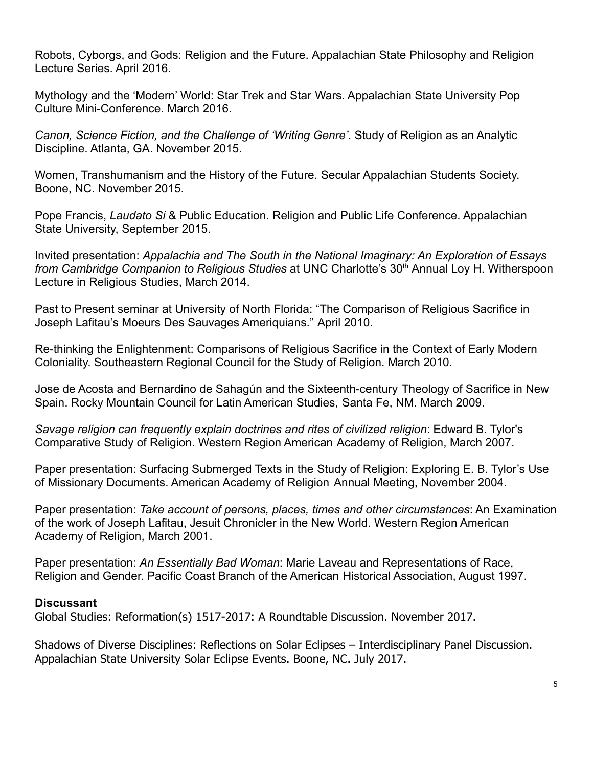Robots, Cyborgs, and Gods: Religion and the Future. Appalachian State Philosophy and Religion Lecture Series. April 2016.

Mythology and the 'Modern' World: Star Trek and Star Wars. Appalachian State University Pop Culture Mini-Conference. March 2016.

*Canon, Science Fiction, and the Challenge of 'Writing Genre'*. Study of Religion as an Analytic Discipline. Atlanta, GA. November 2015.

Women, Transhumanism and the History of the Future. Secular Appalachian Students Society. Boone, NC. November 2015.

Pope Francis, *Laudato Si* & Public Education. Religion and Public Life Conference. Appalachian State University, September 2015.

Invited presentation: *Appalachia and The South in the National Imaginary: An Exploration of Essays from Cambridge Companion to Religious Studies* at UNC Charlotte's 30<sup>th</sup> Annual Loy H. Witherspoon Lecture in Religious Studies, March 2014.

Past to Present seminar at University of North Florida: "The Comparison of Religious Sacrifice in Joseph Lafitau's Moeurs Des Sauvages Ameriquians." April 2010.

Re-thinking the Enlightenment: Comparisons of Religious Sacrifice in the Context of Early Modern Coloniality. Southeastern Regional Council for the Study of Religion. March 2010.

Jose de Acosta and Bernardino de Sahagún and the Sixteenth-century Theology of Sacrifice in New Spain. Rocky Mountain Council for Latin American Studies, Santa Fe, NM. March 2009.

*Savage religion can frequently explain doctrines and rites of civilized religion*: Edward B. Tylor's Comparative Study of Religion. Western Region American Academy of Religion, March 2007.

Paper presentation: Surfacing Submerged Texts in the Study of Religion: Exploring E. B. Tylor's Use of Missionary Documents. American Academy of Religion Annual Meeting, November 2004.

Paper presentation: *Take account of persons, places, times and other circumstances*: An Examination of the work of Joseph Lafitau, Jesuit Chronicler in the New World. Western Region American Academy of Religion, March 2001.

Paper presentation: *An Essentially Bad Woman*: Marie Laveau and Representations of Race, Religion and Gender. Pacific Coast Branch of the American Historical Association, August 1997.

### **Discussant**

Global Studies: Reformation(s) 1517-2017: A Roundtable Discussion. November 2017.

Shadows of Diverse Disciplines: Reflections on Solar Eclipses – Interdisciplinary Panel Discussion. Appalachian State University Solar Eclipse Events. Boone, NC. July 2017.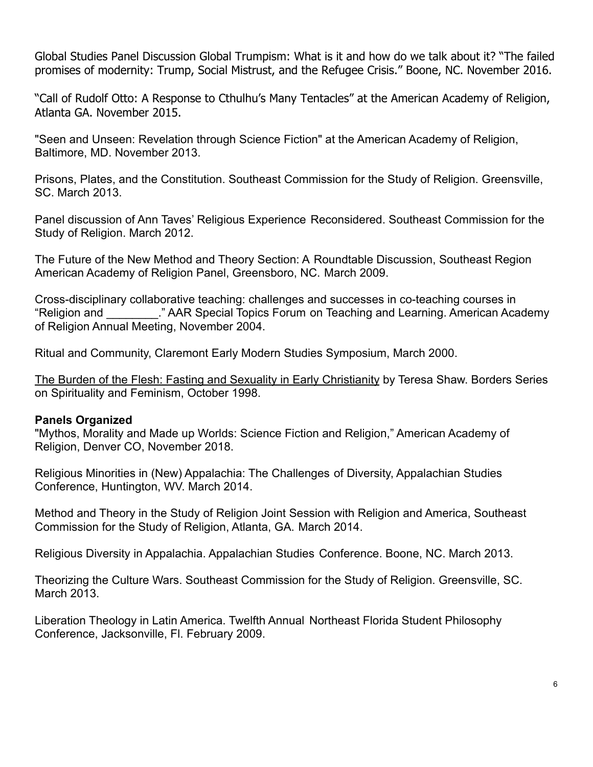Global Studies Panel Discussion Global Trumpism: What is it and how do we talk about it? "The failed promises of modernity: Trump, Social Mistrust, and the Refugee Crisis." Boone, NC. November 2016.

"Call of Rudolf Otto: A Response to Cthulhu's Many Tentacles" at the American Academy of Religion, Atlanta GA. November 2015.

"Seen and Unseen: Revelation through Science Fiction" at the American Academy of Religion, Baltimore, MD. November 2013.

Prisons, Plates, and the Constitution. Southeast Commission for the Study of Religion. Greensville, SC. March 2013.

Panel discussion of Ann Taves' Religious Experience Reconsidered. Southeast Commission for the Study of Religion. March 2012.

The Future of the New Method and Theory Section: A Roundtable Discussion, Southeast Region American Academy of Religion Panel, Greensboro, NC. March 2009.

Cross-disciplinary collaborative teaching: challenges and successes in co-teaching courses in "Religion and \_\_\_\_\_\_\_\_." AAR Special Topics Forum on Teaching and Learning. American Academy of Religion Annual Meeting, November 2004.

Ritual and Community, Claremont Early Modern Studies Symposium, March 2000.

The Burden of the Flesh: Fasting and Sexuality in Early Christianity by Teresa Shaw. Borders Series on Spirituality and Feminism, October 1998.

#### **Panels Organized**

"Mythos, Morality and Made up Worlds: Science Fiction and Religion," American Academy of Religion, Denver CO, November 2018.

Religious Minorities in (New) Appalachia: The Challenges of Diversity, Appalachian Studies Conference, Huntington, WV. March 2014.

Method and Theory in the Study of Religion Joint Session with Religion and America, Southeast Commission for the Study of Religion, Atlanta, GA. March 2014.

Religious Diversity in Appalachia. Appalachian Studies Conference. Boone, NC. March 2013.

Theorizing the Culture Wars. Southeast Commission for the Study of Religion. Greensville, SC. March 2013.

Liberation Theology in Latin America. Twelfth Annual Northeast Florida Student Philosophy Conference, Jacksonville, Fl. February 2009.